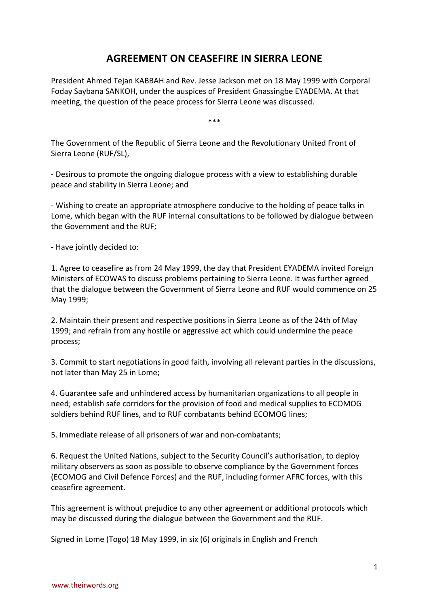## **AGREEMENT ON CEASEFIRE IN SIERRA LEONE**

President Ahmed Tejan KABBAH and Rev. Jesse Jackson met on 18 May 1999 with Corporal Foday Saybana SANKOH, under the auspices of President Gnassingbe EYADEMA. At that meeting, the question of the peace process for Sierra Leone was discussed.

\*\*\*

The Government of the Republic of Sierra Leone and the Revolutionary United Front of Sierra Leone (RUF/SL),

- Desirous to promote the ongoing dialogue process with a view to establishing durable peace and stability in Sierra Leone; and

- Wishing to create an appropriate atmosphere conducive to the holding of peace talks in Lome, which began with the RUF internal consultations to be followed by dialogue between the Government and the RUF;

- Have jointly decided to:

1. Agree to ceasefire as from 24 May 1999, the day that President EYADEMA invited Foreign Ministers of ECOWAS to discuss problems pertaining to Sierra Leone. It was further agreed that the dialogue between the Government of Sierra Leone and RUF would commence on 25 May 1999;

2. Maintain their present and respective positions in Sierra Leone as of the 24th of May 1999; and refrain from any hostile or aggressive act which could undermine the peace process;

3. Commit to start negotiations in good faith, involving all relevant parties in the discussions, not later than May 25 in Lome;

4. Guarantee safe and unhindered access by humanitarian organizations to all people in need; establish safe corridors for the provision of food and medical supplies to ECOMOG soldiers behind RUF lines, and to RUF combatants behind ECOMOG lines;

5. Immediate release of all prisoners of war and non-combatants;

6. Request the United Nations, subject to the Security Council's authorisation, to deploy military observers as soon as possible to observe compliance by the Government forces (ECOMOG and Civil Defence Forces) and the RUF, including former AFRC forces, with this ceasefire agreement.

This agreement is without prejudice to any other agreement or additional protocols which may be discussed during the dialogue between the Government and the RUF.

Signed in Lome (Togo) 18 May 1999, in six (6) originals in English and French